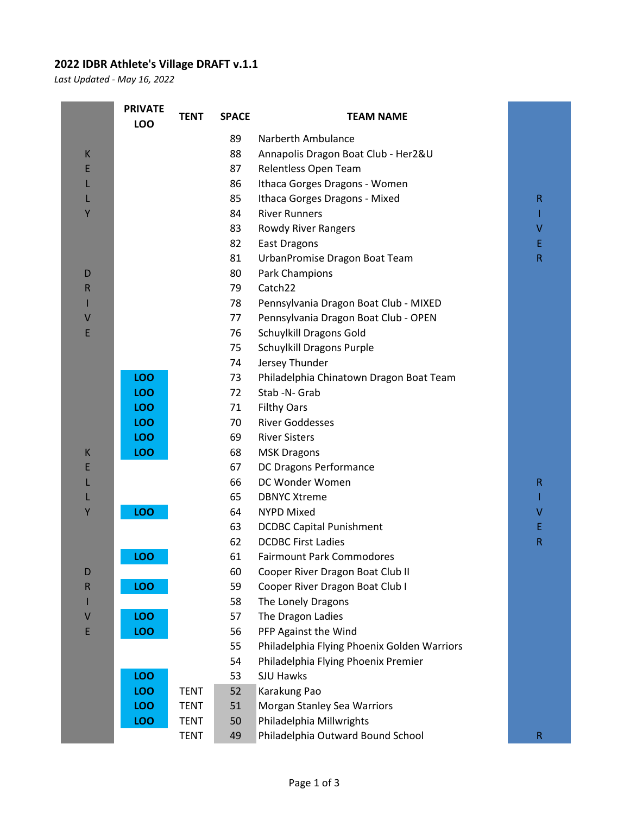## **2022 IDBR Athlete's Village DRAFT v.1.1**

*Last Updated - May 16, 2022*

|        | <b>PRIVATE</b><br>LOO | <b>TENT</b> | <b>SPACE</b> | <b>TEAM NAME</b>                            |             |
|--------|-----------------------|-------------|--------------|---------------------------------------------|-------------|
|        |                       |             | 89           | Narberth Ambulance                          |             |
| K      |                       |             | 88           | Annapolis Dragon Boat Club - Her2&U         |             |
| E      |                       |             | 87           | Relentless Open Team                        |             |
| L      |                       |             | 86           | Ithaca Gorges Dragons - Women               |             |
|        |                       |             | 85           | Ithaca Gorges Dragons - Mixed               | R           |
| Y      |                       |             | 84           | <b>River Runners</b>                        |             |
|        |                       |             | 83           | Rowdy River Rangers                         | v           |
|        |                       |             | 82           | <b>East Dragons</b>                         | E.          |
|        |                       |             | 81           | UrbanPromise Dragon Boat Team               | R           |
| D      |                       |             | 80           | Park Champions                              |             |
| R      |                       |             | 79           | Catch22                                     |             |
|        |                       |             | 78           | Pennsylvania Dragon Boat Club - MIXED       |             |
| V      |                       |             | 77           | Pennsylvania Dragon Boat Club - OPEN        |             |
| E      |                       |             | 76           | Schuylkill Dragons Gold                     |             |
|        |                       |             | 75           | Schuylkill Dragons Purple                   |             |
|        |                       |             | 74           | Jersey Thunder                              |             |
|        | LOO                   |             | 73           | Philadelphia Chinatown Dragon Boat Team     |             |
|        | LOO                   |             | 72           | Stab -N- Grab                               |             |
|        | LOO                   |             | 71           | <b>Filthy Oars</b>                          |             |
|        | LOO                   |             | 70           | <b>River Goddesses</b>                      |             |
|        | LOO                   |             | 69           | <b>River Sisters</b>                        |             |
| К<br>E | LOO                   |             | 68<br>67     | <b>MSK Dragons</b>                          |             |
| L      |                       |             | 66           | DC Dragons Performance<br>DC Wonder Women   | R           |
| L      |                       |             | 65           | <b>DBNYC Xtreme</b>                         |             |
| Υ      | <b>LOO</b>            |             | 64           | <b>NYPD Mixed</b>                           | v           |
|        |                       |             | 63           | <b>DCDBC Capital Punishment</b>             | E           |
|        |                       |             | 62           | <b>DCDBC First Ladies</b>                   | R           |
|        | ഥറ                    |             | 61           | <b>Fairmount Park Commodores</b>            |             |
| D      |                       |             | 60           | Cooper River Dragon Boat Club II            |             |
| R      | LOO                   |             | 59           | Cooper River Dragon Boat Club I             |             |
|        |                       |             | 58           | The Lonely Dragons                          |             |
| ۷      | LOO                   |             | 57           | The Dragon Ladies                           |             |
| E      | <b>LOO</b>            |             | 56           | PFP Against the Wind                        |             |
|        |                       |             | 55           | Philadelphia Flying Phoenix Golden Warriors |             |
|        |                       |             | 54           | Philadelphia Flying Phoenix Premier         |             |
|        | LOO                   |             | 53           | <b>SJU Hawks</b>                            |             |
|        | LOO                   | <b>TENT</b> | 52           | Karakung Pao                                |             |
|        | LOO                   | <b>TENT</b> | 51           | Morgan Stanley Sea Warriors                 |             |
|        | LOO                   | <b>TENT</b> | 50           | Philadelphia Millwrights                    |             |
|        |                       | <b>TENT</b> | 49           | Philadelphia Outward Bound School           | $\mathsf R$ |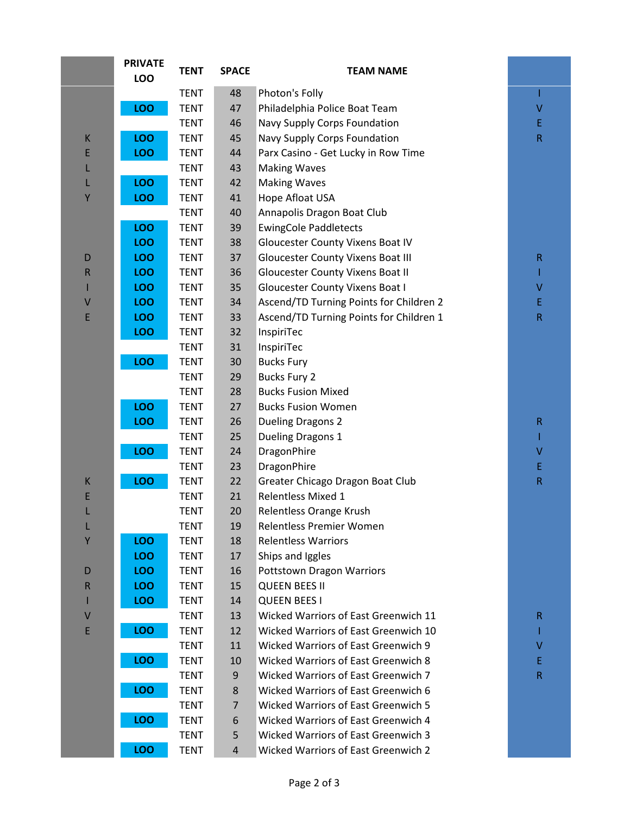|             | <b>PRIVATE</b><br><b>LOO</b> | <b>TENT</b> | <b>SPACE</b>   | <b>TEAM NAME</b>                           |             |
|-------------|------------------------------|-------------|----------------|--------------------------------------------|-------------|
|             |                              | <b>TENT</b> | 48             | Photon's Folly                             | I           |
|             | LOO                          | <b>TENT</b> | 47             | Philadelphia Police Boat Team              | V           |
|             |                              | <b>TENT</b> | 46             | Navy Supply Corps Foundation               | E           |
| $\sf K$     | <b>LOO</b>                   | <b>TENT</b> | 45             | Navy Supply Corps Foundation               | $\mathsf R$ |
| E           | LOO                          | <b>TENT</b> | 44             | Parx Casino - Get Lucky in Row Time        |             |
| L           |                              | <b>TENT</b> | 43             | <b>Making Waves</b>                        |             |
| L           | LOO                          | <b>TENT</b> | 42             | <b>Making Waves</b>                        |             |
| Y           | LOO                          | <b>TENT</b> | 41             | Hope Afloat USA                            |             |
|             |                              | <b>TENT</b> | 40             | Annapolis Dragon Boat Club                 |             |
|             | LOO                          | <b>TENT</b> | 39             | <b>EwingCole Paddletects</b>               |             |
|             | LOO                          | <b>TENT</b> | 38             | Gloucester County Vixens Boat IV           |             |
| D           | LOO                          | <b>TENT</b> | 37             | Gloucester County Vixens Boat III          | $\mathsf R$ |
| $\mathsf R$ | LOO                          | <b>TENT</b> | 36             | <b>Gloucester County Vixens Boat II</b>    | T           |
|             | LOO                          | <b>TENT</b> | 35             | <b>Gloucester County Vixens Boat I</b>     | V           |
| $\vee$      | LOO                          | <b>TENT</b> | 34             | Ascend/TD Turning Points for Children 2    | E           |
| E           | LOO                          | <b>TENT</b> | 33             | Ascend/TD Turning Points for Children 1    | ${\sf R}$   |
|             | <b>LOO</b>                   | <b>TENT</b> | 32             | InspiriTec                                 |             |
|             |                              | <b>TENT</b> | 31             | InspiriTec                                 |             |
|             | LOO                          | <b>TENT</b> | 30             | <b>Bucks Fury</b>                          |             |
|             |                              | <b>TENT</b> | 29             | <b>Bucks Fury 2</b>                        |             |
|             |                              | <b>TENT</b> | 28             | <b>Bucks Fusion Mixed</b>                  |             |
|             | <b>LOO</b>                   | <b>TENT</b> | 27             | <b>Bucks Fusion Women</b>                  |             |
|             | LOO                          | <b>TENT</b> | 26             | <b>Dueling Dragons 2</b>                   | $\mathsf R$ |
|             |                              | <b>TENT</b> | 25             | Dueling Dragons 1                          | T           |
|             | LOO                          | <b>TENT</b> | 24             | DragonPhire                                | V           |
|             |                              | <b>TENT</b> | 23             | DragonPhire                                | E           |
| К           | LOO                          | <b>TENT</b> | 22             | Greater Chicago Dragon Boat Club           | $\mathsf R$ |
| E           |                              | <b>TENT</b> | 21             | <b>Relentless Mixed 1</b>                  |             |
| L           |                              | <b>TENT</b> | 20             | Relentless Orange Krush                    |             |
| L           |                              | <b>TENT</b> | 19             | Relentless Premier Women                   |             |
| Υ           | LOO                          | <b>TENT</b> | 18             | <b>Relentless Warriors</b>                 |             |
|             | LOO                          | <b>TENT</b> | 17             | Ships and Iggles                           |             |
| D           | LOO                          | TENT        | 16             | <b>Pottstown Dragon Warriors</b>           |             |
| $\mathsf R$ | LOO                          | <b>TENT</b> | 15             | <b>QUEEN BEES II</b>                       |             |
|             | <b>LOO</b>                   | <b>TENT</b> | 14             | <b>QUEEN BEES I</b>                        |             |
| V           |                              | <b>TENT</b> | 13             | Wicked Warriors of East Greenwich 11       | $\mathsf R$ |
| E           | <b>LOO</b>                   | <b>TENT</b> | 12             | Wicked Warriors of East Greenwich 10       |             |
|             |                              | TENT        | 11             | Wicked Warriors of East Greenwich 9        | ٧           |
|             | LOO                          | <b>TENT</b> | 10             | <b>Wicked Warriors of East Greenwich 8</b> | Ε           |
|             |                              | <b>TENT</b> | 9              | Wicked Warriors of East Greenwich 7        | $\mathsf R$ |
|             | <b>LOO</b>                   | <b>TENT</b> | 8              | Wicked Warriors of East Greenwich 6        |             |
|             |                              | <b>TENT</b> | $\overline{7}$ | <b>Wicked Warriors of East Greenwich 5</b> |             |
|             | LOO                          | <b>TENT</b> | 6              | Wicked Warriors of East Greenwich 4        |             |
|             |                              | <b>TENT</b> | 5              | Wicked Warriors of East Greenwich 3        |             |
|             | LOO                          | <b>TENT</b> | $\overline{4}$ | Wicked Warriors of East Greenwich 2        |             |